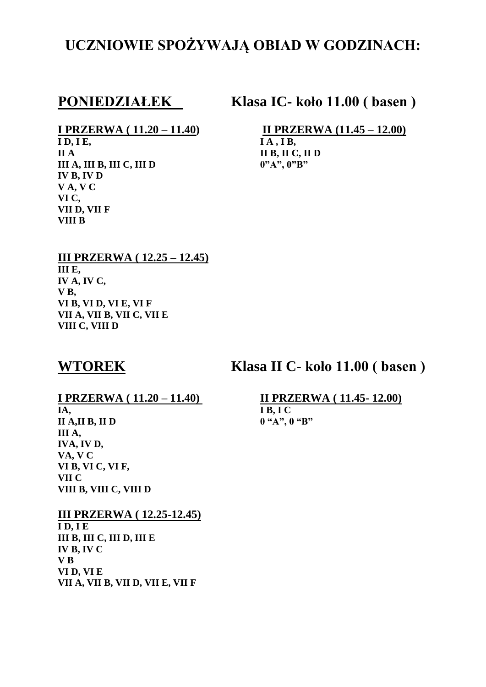## **UCZNIOWIE SPOŻYWAJĄ OBIAD W GODZINACH:**

**PONIEDZIAŁEK Klasa IC- koło 11.00 ( basen )**

 $\overline{ID, IE}$ , **II A II B, II C, II D III A, III B, III C, III D 0"A", 0"B" IV B, IV D V A, V C VI C, VII D, VII F VIII B**

**I PRZERWA** ( 11.20 – 11.40) **II PRZERWA** (11.45 – 12.00) **ID, IE,** 

### **III PRZERWA ( 12.25 – 12.45) III E, IV A, IV C, V B, VI B, VI D, VI E, VI F VII A, VII B, VII C, VII E VIII C, VIII D**

**WTOREK Klasa II C- koło 11.00 ( basen )**

**IA, I B, I C II A,II B, II D 0 "A", 0 "B" III A, IVA, IV D, VA, V C VI B, VI C, VI F, VII C VIII B, VIII C, VIII D**

## **III PRZERWA ( 12.25-12.45)**

**I D, I E III B, III C, III D, III E IV B, IV C V B VI D, VI E VII A, VII B, VII D, VII E, VII F**

# **I PRZERWA ( 11.20 – 11.40) II PRZERWA ( 11.45- 12.00)**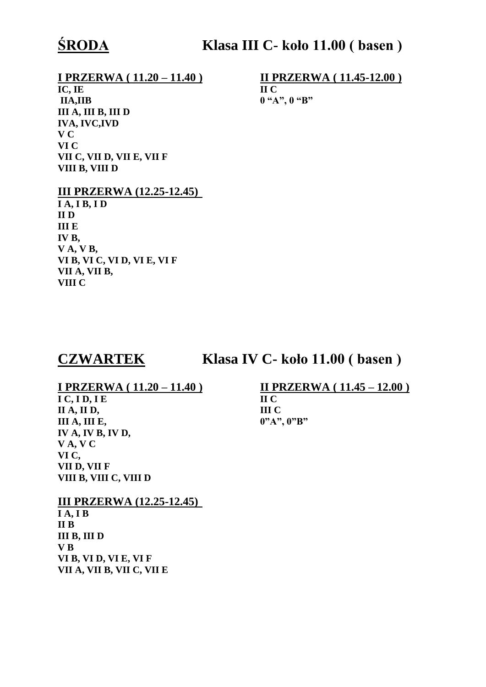## **I PRZERWA ( 11.20 – 11.40 ) II PRZERWA ( 11.45-12.00 )**

**IC, IE II C IIA,IIB 0 "A", 0 "B" III A, III B, III D IVA, IVC,IVD V C VI C VII C, VII D, VII E, VII F VIII B, VIII D**

## **III PRZERWA (12.25-12.45)**

**I A, I B, I D II D III E IV B, V A, V B, VI B, VI C, VI D, VI E, VI F VII A, VII B, VIII C**

## **CZWARTEK Klasa IV C- koło 11.00 ( basen )**

**I C, I D, I E II C II A, II D, III C III A, III E, 0"A", 0"B" IV A, IV B, IV D, V A, V C VI C, VII D, VII F VIII B, VIII C, VIII D**

## **III PRZERWA (12.25-12.45)**

**I A, I B II B III B, III D V B VI B, VI D, VI E, VI F VII A, VII B, VII C, VII E**

# **I PRZERWA ( 11.20 – 11.40 ) II PRZERWA ( 11.45 – 12.00 )**